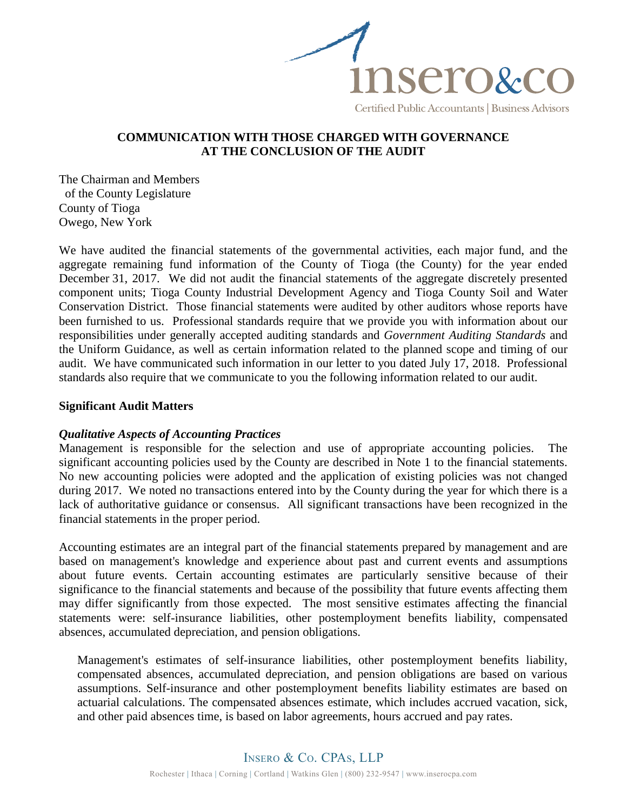

# **COMMUNICATION WITH THOSE CHARGED WITH GOVERNANCE AT THE CONCLUSION OF THE AUDIT**

The Chairman and Members of the County Legislature County of Tioga Owego, New York

We have audited the financial statements of the governmental activities, each major fund, and the aggregate remaining fund information of the County of Tioga (the County) for the year ended December 31, 2017. We did not audit the financial statements of the aggregate discretely presented component units; Tioga County Industrial Development Agency and Tioga County Soil and Water Conservation District. Those financial statements were audited by other auditors whose reports have been furnished to us. Professional standards require that we provide you with information about our responsibilities under generally accepted auditing standards and *Government Auditing Standards* and the Uniform Guidance, as well as certain information related to the planned scope and timing of our audit. We have communicated such information in our letter to you dated July 17, 2018. Professional standards also require that we communicate to you the following information related to our audit.

## **Significant Audit Matters**

#### *Qualitative Aspects of Accounting Practices*

Management is responsible for the selection and use of appropriate accounting policies. The significant accounting policies used by the County are described in Note 1 to the financial statements. No new accounting policies were adopted and the application of existing policies was not changed during 2017. We noted no transactions entered into by the County during the year for which there is a lack of authoritative guidance or consensus. All significant transactions have been recognized in the financial statements in the proper period.

Accounting estimates are an integral part of the financial statements prepared by management and are based on management's knowledge and experience about past and current events and assumptions about future events. Certain accounting estimates are particularly sensitive because of their significance to the financial statements and because of the possibility that future events affecting them may differ significantly from those expected. The most sensitive estimates affecting the financial statements were: self-insurance liabilities, other postemployment benefits liability, compensated absences, accumulated depreciation, and pension obligations.

Management's estimates of self-insurance liabilities, other postemployment benefits liability, compensated absences, accumulated depreciation, and pension obligations are based on various assumptions. Self-insurance and other postemployment benefits liability estimates are based on actuarial calculations. The compensated absences estimate, which includes accrued vacation, sick, and other paid absences time, is based on labor agreements, hours accrued and pay rates.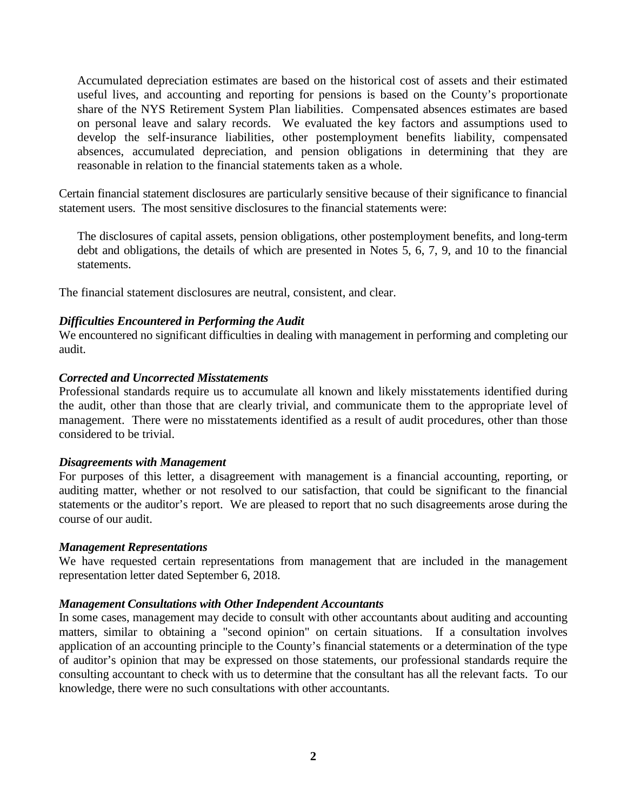Accumulated depreciation estimates are based on the historical cost of assets and their estimated useful lives, and accounting and reporting for pensions is based on the County's proportionate share of the NYS Retirement System Plan liabilities. Compensated absences estimates are based on personal leave and salary records. We evaluated the key factors and assumptions used to develop the self-insurance liabilities, other postemployment benefits liability, compensated absences, accumulated depreciation, and pension obligations in determining that they are reasonable in relation to the financial statements taken as a whole.

Certain financial statement disclosures are particularly sensitive because of their significance to financial statement users. The most sensitive disclosures to the financial statements were:

The disclosures of capital assets, pension obligations, other postemployment benefits, and long-term debt and obligations, the details of which are presented in Notes 5, 6, 7, 9, and 10 to the financial statements.

The financial statement disclosures are neutral, consistent, and clear.

## *Difficulties Encountered in Performing the Audit*

We encountered no significant difficulties in dealing with management in performing and completing our audit.

## *Corrected and Uncorrected Misstatements*

Professional standards require us to accumulate all known and likely misstatements identified during the audit, other than those that are clearly trivial, and communicate them to the appropriate level of management. There were no misstatements identified as a result of audit procedures, other than those considered to be trivial.

## *Disagreements with Management*

For purposes of this letter, a disagreement with management is a financial accounting, reporting, or auditing matter, whether or not resolved to our satisfaction, that could be significant to the financial statements or the auditor's report. We are pleased to report that no such disagreements arose during the course of our audit.

## *Management Representations*

We have requested certain representations from management that are included in the management representation letter dated September 6, 2018.

## *Management Consultations with Other Independent Accountants*

In some cases, management may decide to consult with other accountants about auditing and accounting matters, similar to obtaining a "second opinion" on certain situations. If a consultation involves application of an accounting principle to the County's financial statements or a determination of the type of auditor's opinion that may be expressed on those statements, our professional standards require the consulting accountant to check with us to determine that the consultant has all the relevant facts. To our knowledge, there were no such consultations with other accountants.